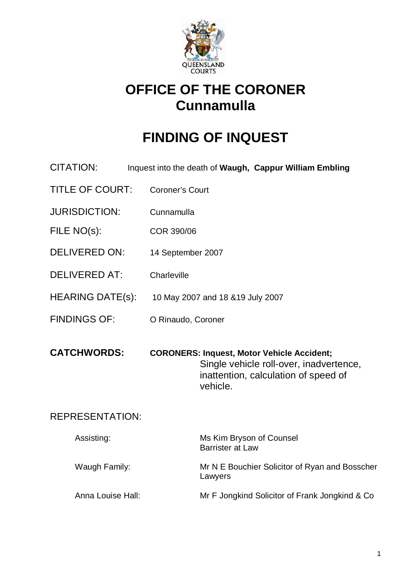

# **OFFICE OF THE CORONER Cunnamulla**

# **FINDING OF INQUEST**

- CITATION: Inquest into the death of **Waugh, Cappur William Embling**
- TITLE OF COURT: Coroner's Court
- JURISDICTION: Cunnamulla
- FILE NO(s): COR 390/06
- DELIVERED ON: 14 September 2007
- DELIVERED AT: Charleville
- HEARING DATE(s): 10 May 2007 and 18 &19 July 2007
- FINDINGS OF: O Rinaudo, Coroner

**CATCHWORDS: CORONERS: Inquest, Motor Vehicle Accident;**  Single vehicle roll-over, inadvertence, inattention, calculation of speed of vehicle.

#### REPRESENTATION:

| Assisting:        | Ms Kim Bryson of Counsel<br><b>Barrister at Law</b>       |
|-------------------|-----------------------------------------------------------|
| Waugh Family:     | Mr N E Bouchier Solicitor of Ryan and Bosscher<br>Lawyers |
| Anna Louise Hall: | Mr F Jongkind Solicitor of Frank Jongkind & Co.           |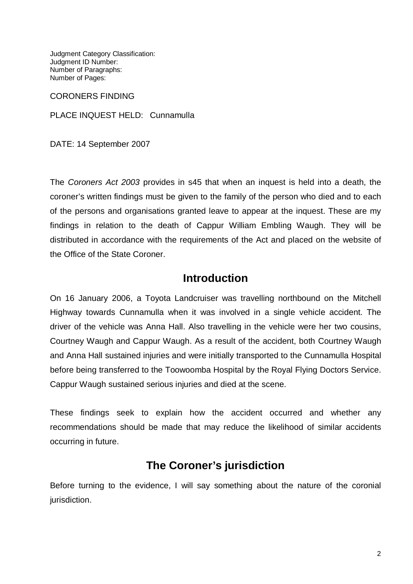Judgment Category Classification: Judgment ID Number: Number of Paragraphs: Number of Pages:

CORONERS FINDING

PLACE INQUEST HELD: Cunnamulla

DATE: 14 September 2007

The Coroners Act 2003 provides in s45 that when an inquest is held into a death, the coroner's written findings must be given to the family of the person who died and to each of the persons and organisations granted leave to appear at the inquest. These are my findings in relation to the death of Cappur William Embling Waugh. They will be distributed in accordance with the requirements of the Act and placed on the website of the Office of the State Coroner.

#### **Introduction**

On 16 January 2006, a Toyota Landcruiser was travelling northbound on the Mitchell Highway towards Cunnamulla when it was involved in a single vehicle accident. The driver of the vehicle was Anna Hall. Also travelling in the vehicle were her two cousins, Courtney Waugh and Cappur Waugh. As a result of the accident, both Courtney Waugh and Anna Hall sustained injuries and were initially transported to the Cunnamulla Hospital before being transferred to the Toowoomba Hospital by the Royal Flying Doctors Service. Cappur Waugh sustained serious injuries and died at the scene.

These findings seek to explain how the accident occurred and whether any recommendations should be made that may reduce the likelihood of similar accidents occurring in future.

### **The Coroner's jurisdiction**

Before turning to the evidence, I will say something about the nature of the coronial jurisdiction.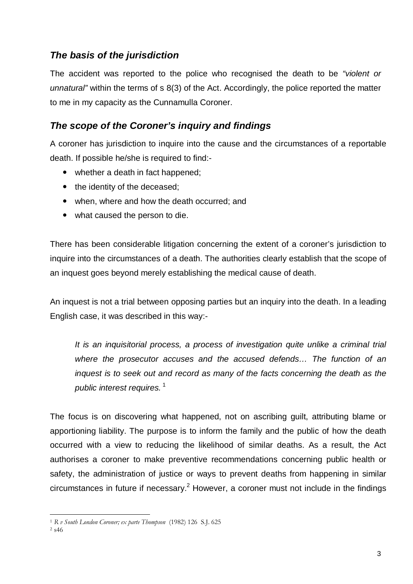#### **The basis of the jurisdiction**

The accident was reported to the police who recognised the death to be "violent or unnatural" within the terms of s 8(3) of the Act. Accordingly, the police reported the matter to me in my capacity as the Cunnamulla Coroner.

#### **The scope of the Coroner's inquiry and findings**

A coroner has jurisdiction to inquire into the cause and the circumstances of a reportable death. If possible he/she is required to find:-

- whether a death in fact happened;
- the identity of the deceased;
- when, where and how the death occurred; and
- what caused the person to die.

There has been considerable litigation concerning the extent of a coroner's jurisdiction to inquire into the circumstances of a death. The authorities clearly establish that the scope of an inquest goes beyond merely establishing the medical cause of death.

An inquest is not a trial between opposing parties but an inquiry into the death. In a leading English case, it was described in this way:-

It is an inquisitorial process, a process of investigation quite unlike a criminal trial where the prosecutor accuses and the accused defends… The function of an inquest is to seek out and record as many of the facts concerning the death as the public interest requires.<sup>1</sup>

The focus is on discovering what happened, not on ascribing guilt, attributing blame or apportioning liability. The purpose is to inform the family and the public of how the death occurred with a view to reducing the likelihood of similar deaths. As a result, the Act authorises a coroner to make preventive recommendations concerning public health or safety, the administration of justice or ways to prevent deaths from happening in similar circumstances in future if necessary.<sup>2</sup> However, a coroner must not include in the findings

 $\overline{a}$ <sup>1</sup> R v South London Coroner; ex parte Thompson (1982) 126 S.J. 625

<sup>2</sup> s46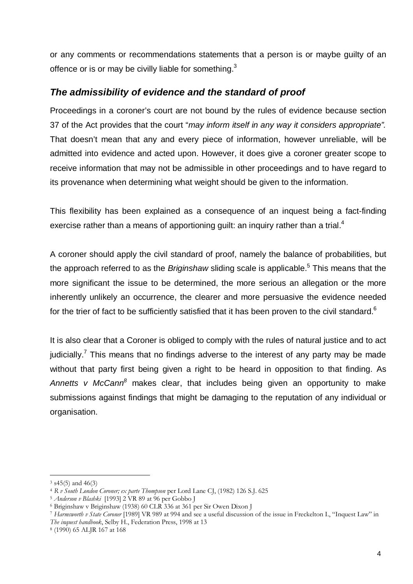or any comments or recommendations statements that a person is or maybe guilty of an offence or is or may be civilly liable for something. $3$ 

#### **The admissibility of evidence and the standard of proof**

Proceedings in a coroner's court are not bound by the rules of evidence because section 37 of the Act provides that the court "may inform itself in any way it considers appropriate". That doesn't mean that any and every piece of information, however unreliable, will be admitted into evidence and acted upon. However, it does give a coroner greater scope to receive information that may not be admissible in other proceedings and to have regard to its provenance when determining what weight should be given to the information.

This flexibility has been explained as a consequence of an inquest being a fact-finding exercise rather than a means of apportioning guilt: an inquiry rather than a trial.<sup>4</sup>

A coroner should apply the civil standard of proof, namely the balance of probabilities, but the approach referred to as the *Briginshaw* sliding scale is applicable.<sup>5</sup> This means that the more significant the issue to be determined, the more serious an allegation or the more inherently unlikely an occurrence, the clearer and more persuasive the evidence needed for the trier of fact to be sufficiently satisfied that it has been proven to the civil standard.<sup>6</sup>

It is also clear that a Coroner is obliged to comply with the rules of natural justice and to act judicially.<sup>7</sup> This means that no findings adverse to the interest of any party may be made without that party first being given a right to be heard in opposition to that finding. As Annetts v McCann $^8$  makes clear, that includes being given an opportunity to make submissions against findings that might be damaging to the reputation of any individual or organisation.

 $\overline{a}$ 

<sup>3</sup> s45(5) and 46(3)

<sup>4</sup> R v South London Coroner; ex parte Thompson per Lord Lane CJ, (1982) 126 S.J. 625

<sup>5</sup> Anderson v Blashki [1993] 2 VR 89 at 96 per Gobbo J

<sup>6</sup> Briginshaw v Briginshaw (1938) 60 CLR 336 at 361 per Sir Owen Dixon J

<sup>7</sup> Harmsworth v State Coroner [1989] VR 989 at 994 and see a useful discussion of the issue in Freckelton I., "Inquest Law" in The inquest handbook, Selby H., Federation Press, 1998 at 13

<sup>8</sup> (1990) 65 ALJR 167 at 168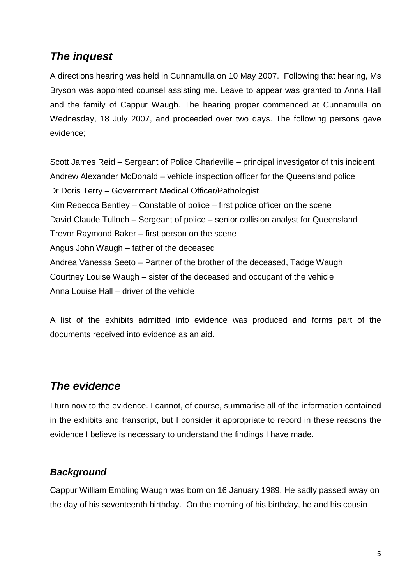## **The inquest**

A directions hearing was held in Cunnamulla on 10 May 2007. Following that hearing, Ms Bryson was appointed counsel assisting me. Leave to appear was granted to Anna Hall and the family of Cappur Waugh. The hearing proper commenced at Cunnamulla on Wednesday, 18 July 2007, and proceeded over two days. The following persons gave evidence;

Scott James Reid – Sergeant of Police Charleville – principal investigator of this incident Andrew Alexander McDonald – vehicle inspection officer for the Queensland police Dr Doris Terry – Government Medical Officer/Pathologist Kim Rebecca Bentley – Constable of police – first police officer on the scene David Claude Tulloch – Sergeant of police – senior collision analyst for Queensland Trevor Raymond Baker – first person on the scene Angus John Waugh – father of the deceased Andrea Vanessa Seeto – Partner of the brother of the deceased, Tadge Waugh Courtney Louise Waugh – sister of the deceased and occupant of the vehicle Anna Louise Hall – driver of the vehicle

A list of the exhibits admitted into evidence was produced and forms part of the documents received into evidence as an aid.

## **The evidence**

I turn now to the evidence. I cannot, of course, summarise all of the information contained in the exhibits and transcript, but I consider it appropriate to record in these reasons the evidence I believe is necessary to understand the findings I have made.

#### **Background**

Cappur William Embling Waugh was born on 16 January 1989. He sadly passed away on the day of his seventeenth birthday. On the morning of his birthday, he and his cousin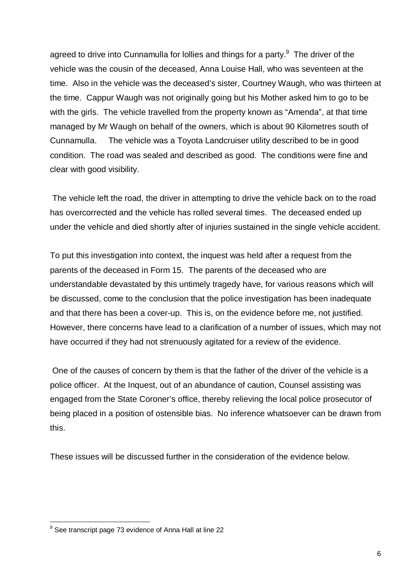agreed to drive into Cunnamulla for lollies and things for a party. $9$  The driver of the vehicle was the cousin of the deceased, Anna Louise Hall, who was seventeen at the time. Also in the vehicle was the deceased's sister, Courtney Waugh, who was thirteen at the time. Cappur Waugh was not originally going but his Mother asked him to go to be with the girls. The vehicle travelled from the property known as "Amenda", at that time managed by Mr Waugh on behalf of the owners, which is about 90 Kilometres south of Cunnamulla. The vehicle was a Toyota Landcruiser utility described to be in good condition. The road was sealed and described as good. The conditions were fine and clear with good visibility.

 The vehicle left the road, the driver in attempting to drive the vehicle back on to the road has overcorrected and the vehicle has rolled several times. The deceased ended up under the vehicle and died shortly after of injuries sustained in the single vehicle accident.

To put this investigation into context, the inquest was held after a request from the parents of the deceased in Form 15. The parents of the deceased who are understandable devastated by this untimely tragedy have, for various reasons which will be discussed, come to the conclusion that the police investigation has been inadequate and that there has been a cover-up. This is, on the evidence before me, not justified. However, there concerns have lead to a clarification of a number of issues, which may not have occurred if they had not strenuously agitated for a review of the evidence.

 One of the causes of concern by them is that the father of the driver of the vehicle is a police officer. At the Inquest, out of an abundance of caution, Counsel assisting was engaged from the State Coroner's office, thereby relieving the local police prosecutor of being placed in a position of ostensible bias. No inference whatsoever can be drawn from this.

These issues will be discussed further in the consideration of the evidence below.

 9 See transcript page 73 evidence of Anna Hall at line 22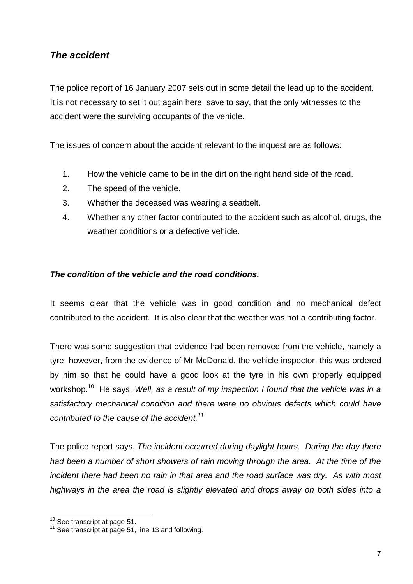#### **The accident**

The police report of 16 January 2007 sets out in some detail the lead up to the accident. It is not necessary to set it out again here, save to say, that the only witnesses to the accident were the surviving occupants of the vehicle.

The issues of concern about the accident relevant to the inquest are as follows:

- 1. How the vehicle came to be in the dirt on the right hand side of the road.
- 2. The speed of the vehicle.
- 3. Whether the deceased was wearing a seatbelt.
- 4. Whether any other factor contributed to the accident such as alcohol, drugs, the weather conditions or a defective vehicle.

#### **The condition of the vehicle and the road conditions.**

It seems clear that the vehicle was in good condition and no mechanical defect contributed to the accident. It is also clear that the weather was not a contributing factor.

There was some suggestion that evidence had been removed from the vehicle, namely a tyre, however, from the evidence of Mr McDonald, the vehicle inspector, this was ordered by him so that he could have a good look at the tyre in his own properly equipped workshop.<sup>10</sup> He says, Well, as a result of my inspection I found that the vehicle was in a satisfactory mechanical condition and there were no obvious defects which could have contributed to the cause of the accident.<sup>11</sup>

The police report says, The incident occurred during daylight hours. During the day there had been a number of short showers of rain moving through the area. At the time of the incident there had been no rain in that area and the road surface was dry. As with most highways in the area the road is slightly elevated and drops away on both sides into a

 $\overline{a}$  $10$  See transcript at page 51.

<sup>&</sup>lt;sup>11</sup> See transcript at page 51, line 13 and following.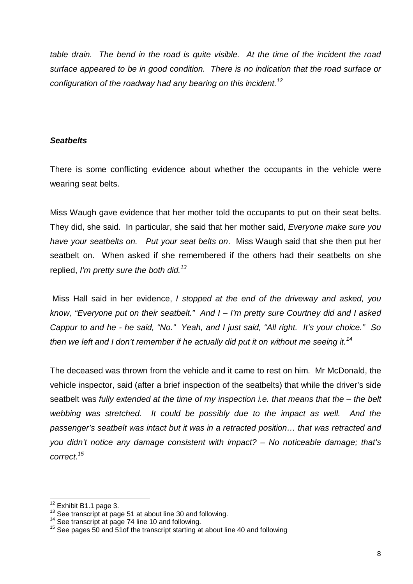table drain. The bend in the road is quite visible. At the time of the incident the road surface appeared to be in good condition. There is no indication that the road surface or configuration of the roadway had any bearing on this incident.<sup>12</sup>

#### **Seatbelts**

There is some conflicting evidence about whether the occupants in the vehicle were wearing seat belts.

Miss Waugh gave evidence that her mother told the occupants to put on their seat belts. They did, she said. In particular, she said that her mother said, Everyone make sure you have your seatbelts on. Put your seat belts on. Miss Waugh said that she then put her seatbelt on. When asked if she remembered if the others had their seatbelts on she replied, I'm pretty sure the both did.<sup>13</sup>

Miss Hall said in her evidence, I stopped at the end of the driveway and asked, you know, "Everyone put on their seatbelt." And I – I'm pretty sure Courtney did and I asked Cappur to and he - he said, "No." Yeah, and I just said, "All right. It's your choice." So then we left and I don't remember if he actually did put it on without me seeing it.<sup>14</sup>

The deceased was thrown from the vehicle and it came to rest on him. Mr McDonald, the vehicle inspector, said (after a brief inspection of the seatbelts) that while the driver's side seatbelt was fully extended at the time of my inspection i.e. that means that the – the belt webbing was stretched. It could be possibly due to the impact as well. And the passenger's seatbelt was intact but it was in a retracted position… that was retracted and you didn't notice any damage consistent with impact? – No noticeable damage; that's correct.<sup>15</sup>

 $\overline{\phantom{a}}$ 

 $12$  Exhibit B1.1 page 3.

 $13$  See transcript at page 51 at about line 30 and following.

<sup>&</sup>lt;sup>14</sup> See transcript at page 74 line 10 and following.

<sup>&</sup>lt;sup>15</sup> See pages 50 and 51of the transcript starting at about line 40 and following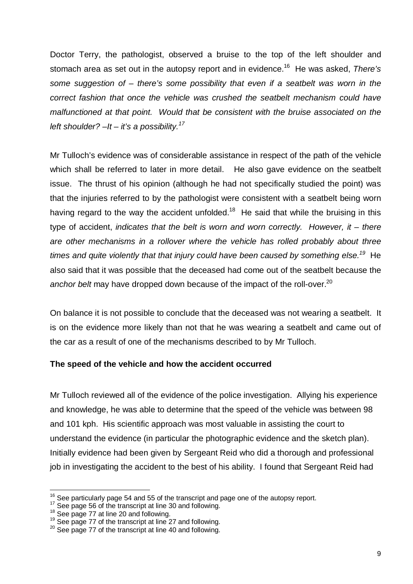Doctor Terry, the pathologist, observed a bruise to the top of the left shoulder and stomach area as set out in the autopsy report and in evidence.<sup>16</sup> He was asked, There's some suggestion of – there's some possibility that even if a seatbelt was worn in the correct fashion that once the vehicle was crushed the seatbelt mechanism could have malfunctioned at that point. Would that be consistent with the bruise associated on the left shoulder?  $-It - it's a possibility.<sup>17</sup>$ 

Mr Tulloch's evidence was of considerable assistance in respect of the path of the vehicle which shall be referred to later in more detail. He also gave evidence on the seatbelt issue. The thrust of his opinion (although he had not specifically studied the point) was that the injuries referred to by the pathologist were consistent with a seatbelt being worn having regard to the way the accident unfolded.<sup>18</sup> He said that while the bruising in this type of accident, indicates that the belt is worn and worn correctly. However, it  $-$  there are other mechanisms in a rollover where the vehicle has rolled probably about three times and quite violently that that injury could have been caused by something else.<sup>19</sup> He also said that it was possible that the deceased had come out of the seatbelt because the anchor belt may have dropped down because of the impact of the roll-over.<sup>20</sup>

On balance it is not possible to conclude that the deceased was not wearing a seatbelt. It is on the evidence more likely than not that he was wearing a seatbelt and came out of the car as a result of one of the mechanisms described to by Mr Tulloch.

#### **The speed of the vehicle and how the accident occurred**

Mr Tulloch reviewed all of the evidence of the police investigation. Allying his experience and knowledge, he was able to determine that the speed of the vehicle was between 98 and 101 kph. His scientific approach was most valuable in assisting the court to understand the evidence (in particular the photographic evidence and the sketch plan). Initially evidence had been given by Sergeant Reid who did a thorough and professional job in investigating the accident to the best of his ability. I found that Sergeant Reid had

 $\overline{a}$  $16$  See particularly page 54 and 55 of the transcript and page one of the autopsy report.

<sup>&</sup>lt;sup>17</sup> See page 56 of the transcript at line 30 and following.

 $18$  See page 77 at line 20 and following.

 $19$  See page 77 of the transcript at line 27 and following.

<sup>&</sup>lt;sup>20</sup> See page 77 of the transcript at line 40 and following.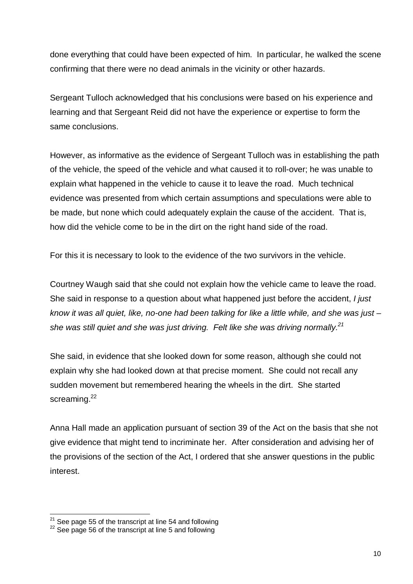done everything that could have been expected of him. In particular, he walked the scene confirming that there were no dead animals in the vicinity or other hazards.

Sergeant Tulloch acknowledged that his conclusions were based on his experience and learning and that Sergeant Reid did not have the experience or expertise to form the same conclusions.

However, as informative as the evidence of Sergeant Tulloch was in establishing the path of the vehicle, the speed of the vehicle and what caused it to roll-over; he was unable to explain what happened in the vehicle to cause it to leave the road. Much technical evidence was presented from which certain assumptions and speculations were able to be made, but none which could adequately explain the cause of the accident. That is, how did the vehicle come to be in the dirt on the right hand side of the road.

For this it is necessary to look to the evidence of the two survivors in the vehicle.

Courtney Waugh said that she could not explain how the vehicle came to leave the road. She said in response to a question about what happened just before the accident, *I just* know it was all quiet, like, no-one had been talking for like a little while, and she was just – she was still quiet and she was just driving. Felt like she was driving normally.<sup>21</sup>

She said, in evidence that she looked down for some reason, although she could not explain why she had looked down at that precise moment. She could not recall any sudden movement but remembered hearing the wheels in the dirt. She started screaming.<sup>22</sup>

Anna Hall made an application pursuant of section 39 of the Act on the basis that she not give evidence that might tend to incriminate her. After consideration and advising her of the provisions of the section of the Act, I ordered that she answer questions in the public interest.

 $\overline{\phantom{a}}$  $21$  See page 55 of the transcript at line 54 and following

 $22$  See page 56 of the transcript at line 5 and following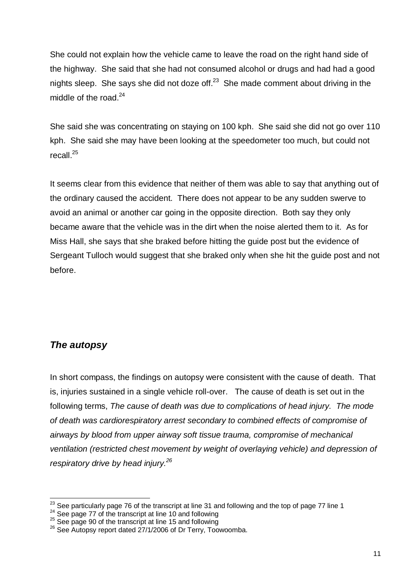She could not explain how the vehicle came to leave the road on the right hand side of the highway. She said that she had not consumed alcohol or drugs and had had a good nights sleep. She says she did not doze of  $f^{23}$  She made comment about driving in the middle of the road.<sup>24</sup>

She said she was concentrating on staying on 100 kph. She said she did not go over 110 kph. She said she may have been looking at the speedometer too much, but could not recall. $^{25}$ 

It seems clear from this evidence that neither of them was able to say that anything out of the ordinary caused the accident. There does not appear to be any sudden swerve to avoid an animal or another car going in the opposite direction. Both say they only became aware that the vehicle was in the dirt when the noise alerted them to it. As for Miss Hall, she says that she braked before hitting the guide post but the evidence of Sergeant Tulloch would suggest that she braked only when she hit the guide post and not before.

#### **The autopsy**

In short compass, the findings on autopsy were consistent with the cause of death. That is, injuries sustained in a single vehicle roll-over. The cause of death is set out in the following terms, The cause of death was due to complications of head injury. The mode of death was cardiorespiratory arrest secondary to combined effects of compromise of airways by blood from upper airway soft tissue trauma, compromise of mechanical ventilation (restricted chest movement by weight of overlaying vehicle) and depression of respiratory drive by head injury.<sup>26</sup>

 $\overline{\phantom{a}}$  $^{23}$  See particularly page 76 of the transcript at line 31 and following and the top of page 77 line 1

<sup>&</sup>lt;sup>24</sup> See page 77 of the transcript at line 10 and following

<sup>&</sup>lt;sup>25</sup> See page 90 of the transcript at line 15 and following

<sup>&</sup>lt;sup>26</sup> See Autopsy report dated 27/1/2006 of Dr Terry, Toowoomba.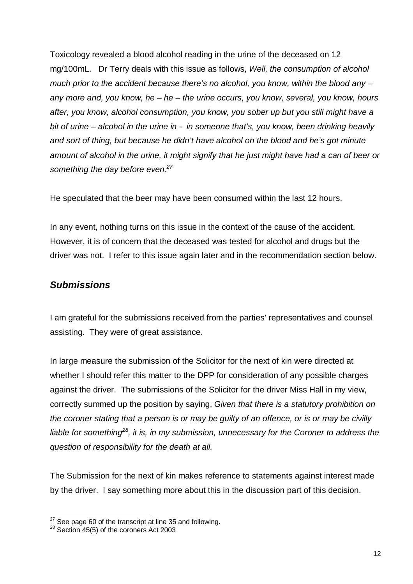Toxicology revealed a blood alcohol reading in the urine of the deceased on 12 mg/100mL. Dr Terry deals with this issue as follows, Well, the consumption of alcohol much prior to the accident because there's no alcohol, you know, within the blood any – any more and, you know, he  $-$  he  $-$  the urine occurs, you know, several, you know, hours after, you know, alcohol consumption, you know, you sober up but you still might have a bit of urine – alcohol in the urine in - in someone that's, you know, been drinking heavily and sort of thing, but because he didn't have alcohol on the blood and he's got minute amount of alcohol in the urine, it might signify that he just might have had a can of beer or something the day before even.<sup>27</sup>

He speculated that the beer may have been consumed within the last 12 hours.

In any event, nothing turns on this issue in the context of the cause of the accident. However, it is of concern that the deceased was tested for alcohol and drugs but the driver was not. I refer to this issue again later and in the recommendation section below.

### **Submissions**

I am grateful for the submissions received from the parties' representatives and counsel assisting. They were of great assistance.

In large measure the submission of the Solicitor for the next of kin were directed at whether I should refer this matter to the DPP for consideration of any possible charges against the driver. The submissions of the Solicitor for the driver Miss Hall in my view, correctly summed up the position by saying, Given that there is a statutory prohibition on the coroner stating that a person is or may be guilty of an offence, or is or may be civilly liable for something<sup>28</sup>, it is, in my submission, unnecessary for the Coroner to address the question of responsibility for the death at all.

The Submission for the next of kin makes reference to statements against interest made by the driver. I say something more about this in the discussion part of this decision.

 $\overline{\phantom{a}}$  $27$  See page 60 of the transcript at line 35 and following.

 $28$  Section 45(5) of the coroners Act 2003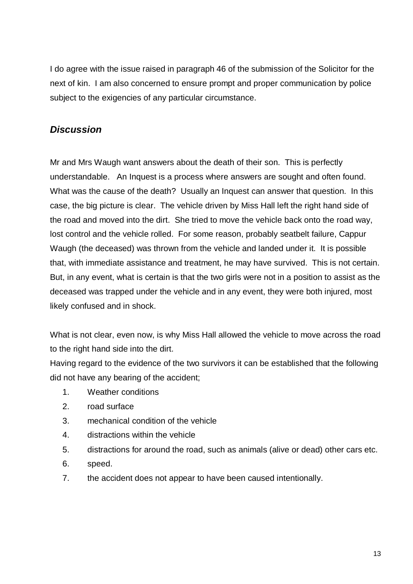I do agree with the issue raised in paragraph 46 of the submission of the Solicitor for the next of kin. I am also concerned to ensure prompt and proper communication by police subject to the exigencies of any particular circumstance.

#### **Discussion**

Mr and Mrs Waugh want answers about the death of their son. This is perfectly understandable. An Inquest is a process where answers are sought and often found. What was the cause of the death? Usually an Inquest can answer that question. In this case, the big picture is clear. The vehicle driven by Miss Hall left the right hand side of the road and moved into the dirt. She tried to move the vehicle back onto the road way, lost control and the vehicle rolled. For some reason, probably seatbelt failure, Cappur Waugh (the deceased) was thrown from the vehicle and landed under it. It is possible that, with immediate assistance and treatment, he may have survived. This is not certain. But, in any event, what is certain is that the two girls were not in a position to assist as the deceased was trapped under the vehicle and in any event, they were both injured, most likely confused and in shock.

What is not clear, even now, is why Miss Hall allowed the vehicle to move across the road to the right hand side into the dirt.

Having regard to the evidence of the two survivors it can be established that the following did not have any bearing of the accident;

- 1. Weather conditions
- 2. road surface
- 3. mechanical condition of the vehicle
- 4. distractions within the vehicle
- 5. distractions for around the road, such as animals (alive or dead) other cars etc.
- 6. speed.
- 7. the accident does not appear to have been caused intentionally.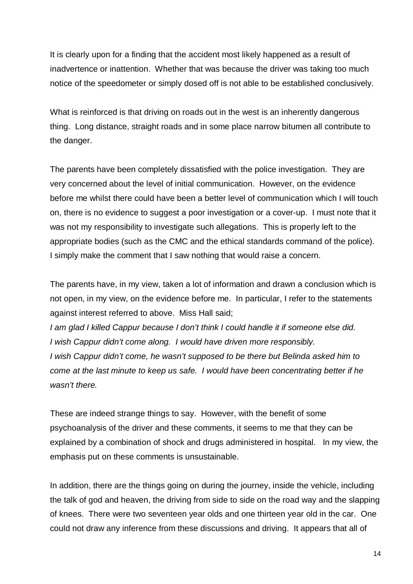It is clearly upon for a finding that the accident most likely happened as a result of inadvertence or inattention. Whether that was because the driver was taking too much notice of the speedometer or simply dosed off is not able to be established conclusively.

What is reinforced is that driving on roads out in the west is an inherently dangerous thing. Long distance, straight roads and in some place narrow bitumen all contribute to the danger.

The parents have been completely dissatisfied with the police investigation. They are very concerned about the level of initial communication. However, on the evidence before me whilst there could have been a better level of communication which I will touch on, there is no evidence to suggest a poor investigation or a cover-up. I must note that it was not my responsibility to investigate such allegations. This is properly left to the appropriate bodies (such as the CMC and the ethical standards command of the police). I simply make the comment that I saw nothing that would raise a concern.

The parents have, in my view, taken a lot of information and drawn a conclusion which is not open, in my view, on the evidence before me. In particular, I refer to the statements against interest referred to above. Miss Hall said;

I am glad I killed Cappur because I don't think I could handle it if someone else did. I wish Cappur didn't come along. I would have driven more responsibly. I wish Cappur didn't come, he wasn't supposed to be there but Belinda asked him to come at the last minute to keep us safe. I would have been concentrating better if he wasn't there.

These are indeed strange things to say. However, with the benefit of some psychoanalysis of the driver and these comments, it seems to me that they can be explained by a combination of shock and drugs administered in hospital. In my view, the emphasis put on these comments is unsustainable.

In addition, there are the things going on during the journey, inside the vehicle, including the talk of god and heaven, the driving from side to side on the road way and the slapping of knees. There were two seventeen year olds and one thirteen year old in the car. One could not draw any inference from these discussions and driving. It appears that all of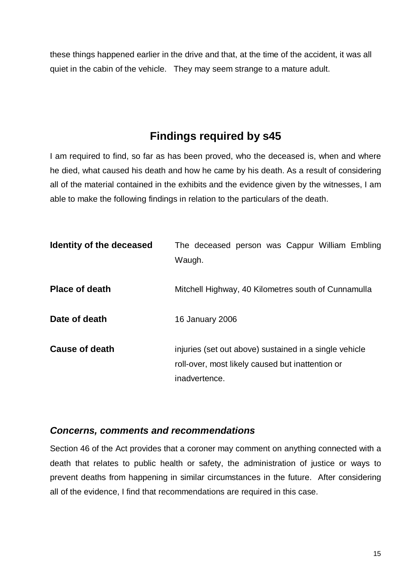these things happened earlier in the drive and that, at the time of the accident, it was all quiet in the cabin of the vehicle. They may seem strange to a mature adult.

# **Findings required by s45**

I am required to find, so far as has been proved, who the deceased is, when and where he died, what caused his death and how he came by his death. As a result of considering all of the material contained in the exhibits and the evidence given by the witnesses, I am able to make the following findings in relation to the particulars of the death.

| Identity of the deceased | The deceased person was Cappur William Embling<br>Waugh.                                                                    |
|--------------------------|-----------------------------------------------------------------------------------------------------------------------------|
| <b>Place of death</b>    | Mitchell Highway, 40 Kilometres south of Cunnamulla                                                                         |
| Date of death            | 16 January 2006                                                                                                             |
| <b>Cause of death</b>    | injuries (set out above) sustained in a single vehicle<br>roll-over, most likely caused but inattention or<br>inadvertence. |

#### **Concerns, comments and recommendations**

Section 46 of the Act provides that a coroner may comment on anything connected with a death that relates to public health or safety, the administration of justice or ways to prevent deaths from happening in similar circumstances in the future. After considering all of the evidence, I find that recommendations are required in this case.